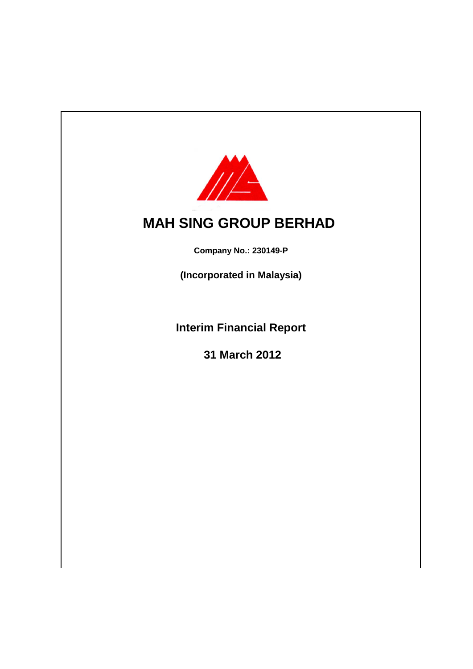

# **MAH SING GROUP BERHAD**

**Company No.: 230149-P**

**(Incorporated in Malaysia)**

**Interim Financial Report**

 **31 March 2012**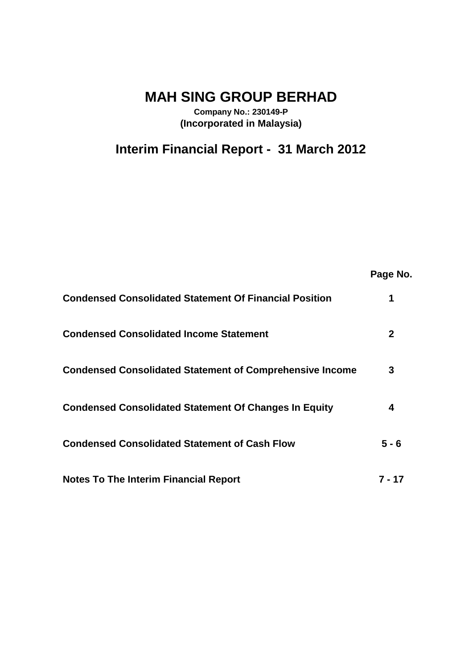**MAH SING GROUP BERHAD**

**Company No.: 230149-P (Incorporated in Malaysia)**

# **Interim Financial Report - 31 March 2012**

|                                                                 | Page No. |
|-----------------------------------------------------------------|----------|
| <b>Condensed Consolidated Statement Of Financial Position</b>   | 1        |
| <b>Condensed Consolidated Income Statement</b>                  | 2        |
| <b>Condensed Consolidated Statement of Comprehensive Income</b> | 3        |
| <b>Condensed Consolidated Statement Of Changes In Equity</b>    | 4        |
| <b>Condensed Consolidated Statement of Cash Flow</b>            | $5 - 6$  |
| <b>Notes To The Interim Financial Report</b>                    | 7 - 17   |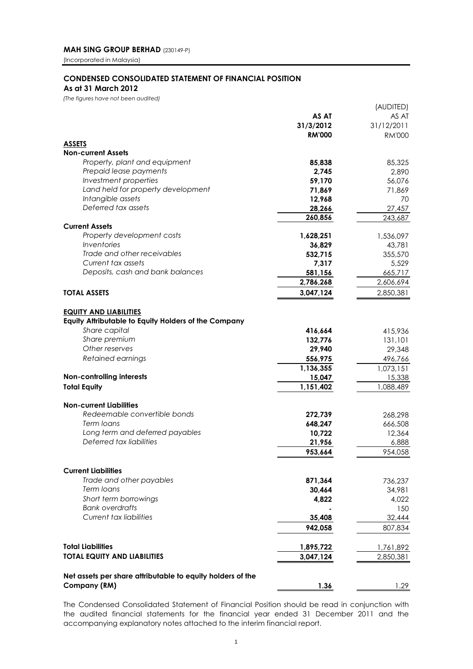(Incorporated in Malaysia)

#### **CONDENSED CONSOLIDATED STATEMENT OF FINANCIAL POSITION As at 31 March 2012**

*(The figures have not been audited)*

|                                                            |               | (AUDITED)     |
|------------------------------------------------------------|---------------|---------------|
|                                                            | AS AT         | AS AT         |
|                                                            | 31/3/2012     | 31/12/2011    |
|                                                            | <b>RM'000</b> | <b>RM'000</b> |
| <b>ASSETS</b>                                              |               |               |
| <b>Non-current Assets</b>                                  |               |               |
| Property, plant and equipment                              | 85,838        | 85,325        |
| Prepaid lease payments                                     | 2,745         | 2,890         |
| Investment properties                                      | 59,170        | 56,076        |
| Land held for property development                         | 71,869        | 71,869        |
| Intangible assets                                          | 12,968        | 70            |
| Deferred tax assets                                        | 28,266        | 27,457        |
|                                                            | 260,856       | 243,687       |
| <b>Current Assets</b>                                      |               |               |
| Property development costs                                 |               |               |
| Inventories                                                | 1,628,251     | 1,536,097     |
| Trade and other receivables                                | 36,829        | 43,781        |
|                                                            | 532,715       | 355,570       |
| Current tax assets                                         | 7,317         | 5,529         |
| Deposits, cash and bank balances                           | 581,156       | 665,717       |
|                                                            | 2,786,268     | 2,606,694     |
| <b>TOTAL ASSETS</b>                                        | 3,047,124     | 2,850,381     |
|                                                            |               |               |
| <b>EQUITY AND LIABILITIES</b>                              |               |               |
| Equity Attributable to Equity Holders of the Company       |               |               |
| Share capital                                              | 416,664       | 415,936       |
| Share premium                                              | 132,776       | 131,101       |
| Other reserves                                             | 29,940        | 29,348        |
| Retained earnings                                          | 556,975       | 496,766       |
|                                                            | 1,136,355     | 1,073,151     |
| Non-controlling interests                                  | 15,047        | 15,338        |
|                                                            |               |               |
| <b>Total Equity</b>                                        | 1,151,402     | 1,088,489     |
| <b>Non-current Liabilities</b>                             |               |               |
|                                                            |               |               |
| Redeemable convertible bonds                               | 272,739       | 268,298       |
| Term Ioans                                                 | 648,247       | 666,508       |
| Long term and deferred payables                            | 10,722        | 12,364        |
| Deferred tax liabilities                                   | 21,956        | 6,888         |
|                                                            | 953,664       | 954,058       |
|                                                            |               |               |
| <b>Current Liabilities</b>                                 |               |               |
| Trade and other payables                                   | 871,364       | 736,237       |
| Term loans                                                 | 30,464        | 34,981        |
| Short term borrowings                                      | 4,822         | 4,022         |
| <b>Bank overdrafts</b>                                     |               | 150           |
| <b>Current tax liabilities</b>                             | 35,408        | 32,444        |
|                                                            | 942,058       | 807,834       |
|                                                            |               |               |
| <b>Total Liabilities</b>                                   | 1,895,722     | 1,761,892     |
| <b>TOTAL EQUITY AND LIABILITIES</b>                        | 3,047,124     | 2,850,381     |
|                                                            |               |               |
|                                                            |               |               |
| Net assets per share attributable to equity holders of the |               |               |
| Company (RM)                                               | 1.36          | 1.29          |

The Condensed Consolidated Statement of Financial Position should be read in conjunction with the audited financial statements for the financial year ended 31 December 2011 and the accompanying explanatory notes attached to the interim financial report.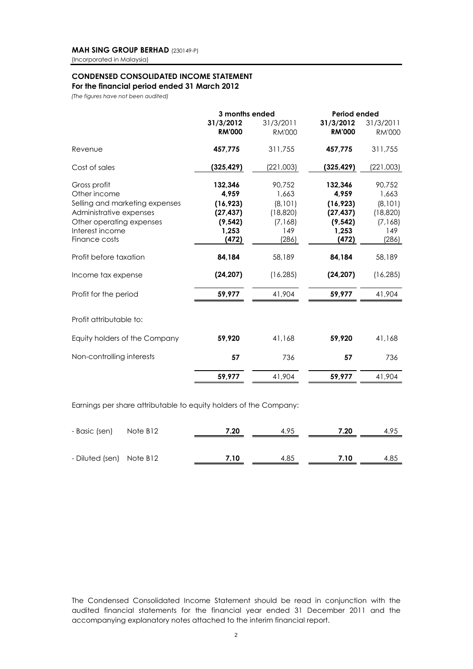## **CONDENSED CONSOLIDATED INCOME STATEMENT**

### **For the financial period ended 31 March 2012**

*(The figures have not been audited)*

|                                | 3 months ended |               | Period ended  |               |  |
|--------------------------------|----------------|---------------|---------------|---------------|--|
|                                | 31/3/2012      | 31/3/2011     | 31/3/2012     | 31/3/2011     |  |
|                                | <b>RM'000</b>  | <b>RM'000</b> | <b>RM'000</b> | <b>RM'000</b> |  |
| Revenue                        | 457,775        | 311,755       | 457,775       | 311,755       |  |
| Cost of sales                  | (325, 429)     | (221,003)     | (325, 429)    | (221,003)     |  |
| Gross profit                   | 132,346        | 90,752        | 132,346       | 90,752        |  |
| Other income                   | 4,959          | 1,663         | 4,959         | 1,663         |  |
| Selling and marketing expenses | (16, 923)      | (8, 101)      | (16, 923)     | (8, 101)      |  |
| Administrative expenses        | (27, 437)      | (18, 820)     | (27, 437)     | (18, 820)     |  |
| Other operating expenses       | (9, 542)       | (7,168)       | (9, 542)      | (7,168)       |  |
| Interest income                | 1,253          | 149           | 1,253         | 149           |  |
| Finance costs                  | (472)          | (286)         | (472)         | (286)         |  |
| Profit before taxation         | 84,184         | 58,189        | 84,184        | 58,189        |  |
| Income tax expense             | (24, 207)      | (16, 285)     | (24, 207)     | (16, 285)     |  |
| Profit for the period          | 59,977         | 41,904        | 59,977        | 41,904        |  |
| Profit attributable to:        |                |               |               |               |  |
| Equity holders of the Company  | 59,920         | 41,168        | 59,920        | 41,168        |  |
| Non-controlling interests      | 57             | 736           | 57            | 736           |  |
|                                | 59,977         | 41,904        | 59,977        | 41,904        |  |
|                                |                |               |               |               |  |

Earnings per share attributable to equity holders of the Company:

| - Basic (sen) Note B12   | 7.20 | 4.95 | 7.20 | 4.95 |
|--------------------------|------|------|------|------|
|                          |      |      |      |      |
| - Diluted (sen) Note B12 | 7.10 | 4.85 | 7.10 | 4.85 |

The Condensed Consolidated Income Statement should be read in conjunction with the audited financial statements for the financial year ended 31 December 2011 and the accompanying explanatory notes attached to the interim financial report.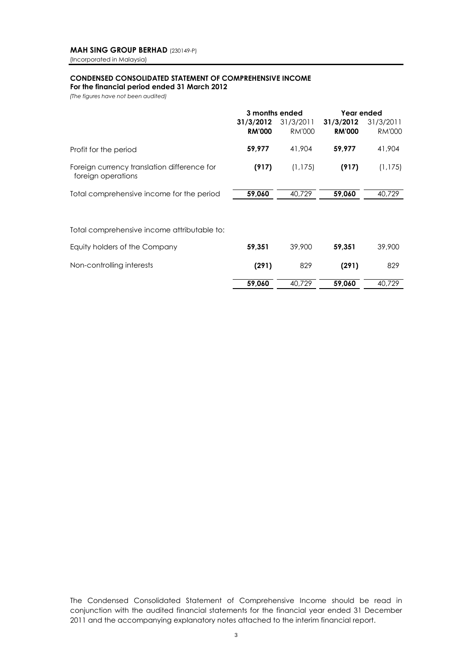#### **CONDENSED CONSOLIDATED STATEMENT OF COMPREHENSIVE INCOME For the financial period ended 31 March 2012**

*(The figures have not been audited)*

|                                                                   | 3 months ended<br>31/3/2012<br><b>RM'000</b> | 31/3/2011<br><b>RM'000</b> | Year ended<br>31/3/2012<br><b>RM'000</b> | 31/3/2011<br>RM'000 |
|-------------------------------------------------------------------|----------------------------------------------|----------------------------|------------------------------------------|---------------------|
| Profit for the period                                             | 59,977                                       | 41,904                     | 59,977                                   | 41,904              |
| Foreign currency translation difference for<br>foreign operations | (917)                                        | (1, 175)                   | (917)                                    | (1, 175)            |
| Total comprehensive income for the period                         | 59,060                                       | 40,729                     | 59,060                                   | 40,729              |
| Total comprehensive income attributable to:                       |                                              |                            |                                          |                     |
| Equity holders of the Company                                     | 59,351                                       | 39,900                     | 59,351                                   | 39,900              |
| Non-controlling interests                                         | (291)                                        | 829                        | (291)                                    | 829                 |
|                                                                   | 59,060                                       | 40.729                     | 59,060                                   | 40.729              |

The Condensed Consolidated Statement of Comprehensive Income should be read in conjunction with the audited financial statements for the financial year ended 31 December 2011 and the accompanying explanatory notes attached to the interim financial report.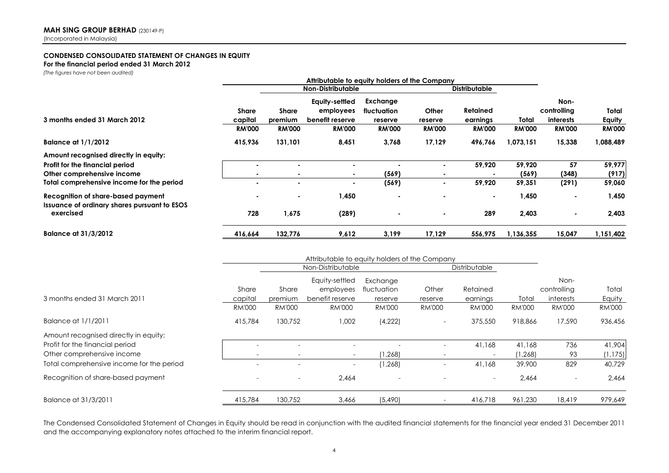(Incorporated in Malaysia)

#### **CONDENSED CONSOLIDATED STATEMENT OF CHANGES IN EQUITY For the financial period ended 31 March 2012**

*(The figures have not been audited)*

|                                                                                    | Attributable to equity holders of the Company |                |                             |                         |                |                          |               |                          |               |
|------------------------------------------------------------------------------------|-----------------------------------------------|----------------|-----------------------------|-------------------------|----------------|--------------------------|---------------|--------------------------|---------------|
|                                                                                    |                                               |                | Non-Distributable           |                         |                | <b>Distributable</b>     |               |                          |               |
|                                                                                    | <b>Share</b>                                  | Share          | Equity-settled<br>employees | Exchange<br>fluctuation | Other          | Retained                 |               | Non-<br>controlling      | Total         |
| 3 months ended 31 March 2012                                                       | capital                                       | premium        | benefit reserve             | reserve                 | reserve        | earnings                 | Total         | <i>interests</i>         | Equity        |
|                                                                                    | <b>RM'000</b>                                 | <b>RM'000</b>  | <b>RM'000</b>               | <b>RM'000</b>           | <b>RM'000</b>  | <b>RM'000</b>            | <b>RM'000</b> | <b>RM'000</b>            | <b>RM'000</b> |
| <b>Balance at 1/1/2012</b>                                                         | 415,936                                       | 131,101        | 8,451                       | 3,768                   | 17,129         | 496,766                  | 1,073,151     | 15,338                   | 1,088,489     |
| Amount recognised directly in equity:                                              |                                               |                |                             |                         |                |                          |               |                          |               |
| Profit for the financial period                                                    |                                               |                | ۰.                          |                         | $\blacksquare$ | 59,920                   | 59,920        | 57                       | 59,977        |
| Other comprehensive income                                                         | $\blacksquare$                                | $\blacksquare$ |                             | (569)                   | $\blacksquare$ |                          | (569)         | (348)                    | (917)         |
| Total comprehensive income for the period                                          |                                               |                | $\blacksquare$              | (569)                   | $\blacksquare$ | 59,920                   | 59,351        | (291)                    | 59,060        |
| Recognition of share-based payment<br>Issuance of ordinary shares pursuant to ESOS |                                               | $\blacksquare$ | 1,450                       |                         |                | $\overline{\phantom{a}}$ | 1,450         | $\overline{\phantom{0}}$ | 1,450         |
| exercised                                                                          | 728                                           | 1.675          | (289)                       |                         | $\blacksquare$ | 289                      | 2,403         | $\overline{\phantom{a}}$ | 2.403         |
| <b>Balance at 31/3/2012</b>                                                        | 416,664                                       | 132,776        | 9,612                       | 3,199                   | 17,129         | 556,975                  | 1,136,355     | 15,047                   | 1,151,402     |

|                                           | Attributable to equity holders of the Company |               |                 |                          |                          |               |               |                          |               |
|-------------------------------------------|-----------------------------------------------|---------------|-----------------|--------------------------|--------------------------|---------------|---------------|--------------------------|---------------|
|                                           | Non-Distributable                             |               |                 |                          | Distributable            |               |               |                          |               |
|                                           |                                               |               | Equity-settled  | Exchange                 |                          |               |               | Non-                     |               |
|                                           | Share                                         | Share         | employees       | fluctuation              | Other                    | Retained      |               | controlling              | Total         |
| 3 months ended 31 March 2011              | capital                                       | premium       | benefit reserve | reserve                  | reserve                  | earnings      | Total         | interests                | Equity        |
|                                           | <b>RM'000</b>                                 | <b>RM'000</b> | <b>RM'000</b>   | <b>RM'000</b>            | <b>RM'000</b>            | <b>RM'000</b> | <b>RM'000</b> | <b>RM'000</b>            | <b>RM'000</b> |
| Balance at 1/1/2011                       | 415,784                                       | 130,752       | 1,002           | (4,222)                  | ٠                        | 375,550       | 918,866       | 17,590                   | 936,456       |
| Amount recognised directly in equity:     |                                               |               |                 |                          |                          |               |               |                          |               |
| Profit for the financial period           |                                               |               |                 |                          | $\overline{\phantom{a}}$ | 41,168        | 41.168        | 736                      | 41,904        |
| Other comprehensive income                |                                               |               | $\sim$          | 1,268)                   |                          | $\sim$        | (1,268)       | 93                       | (1, 175)      |
| Total comprehensive income for the period |                                               |               | $\sim$          | (1,268)                  | ٠                        | 41,168        | 39,900        | 829                      | 40,729        |
| Recognition of share-based payment        | $\overline{\phantom{a}}$                      | $\sim$        | 2,464           | $\overline{\phantom{a}}$ |                          | $\sim$        | 2,464         | $\overline{\phantom{a}}$ | 2,464         |
| Balance at 31/3/2011                      | 415,784                                       | 130,752       | 3,466           | (5,490)                  |                          | 416,718       | 961,230       | 18,419                   | 979,649       |

The Condensed Consolidated Statement of Changes in Equity should be read in conjunction with the audited financial statements for the financial year ended 31 December 2011 and the accompanying explanatory notes attached to the interim financial report.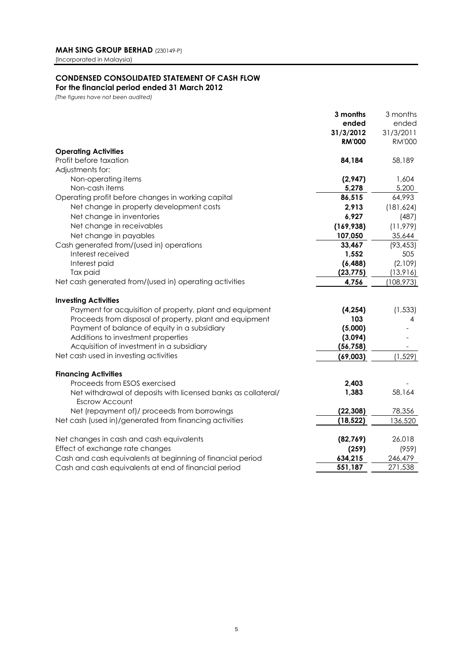#### **CONDENSED CONSOLIDATED STATEMENT OF CASH FLOW**

### **For the financial period ended 31 March 2012**

*(The figures have not been audited)*

|                                                                                 | 3 months      | 3 months      |
|---------------------------------------------------------------------------------|---------------|---------------|
|                                                                                 | ended         | ended         |
|                                                                                 | 31/3/2012     | 31/3/2011     |
|                                                                                 | <b>RM'000</b> | <b>RM'000</b> |
| <b>Operating Activities</b>                                                     |               |               |
| Profit before taxation                                                          | 84,184        | 58,189        |
| Adjustments for:                                                                |               |               |
| Non-operating items                                                             | (2,947)       | 1.604         |
| Non-cash items                                                                  | 5,278         | 5,200         |
| Operating profit before changes in working capital                              | 86,515        | 64,993        |
| Net change in property development costs                                        | 2,913         | (181, 624)    |
| Net change in inventories                                                       | 6,927         | (487)         |
| Net change in receivables                                                       | (169, 938)    | (11, 979)     |
| Net change in payables                                                          | 107,050       | 35,644        |
| Cash generated from/(used in) operations                                        | 33,467        | (93, 453)     |
| Interest received                                                               | 1,552         | 505           |
| Interest paid                                                                   | (6, 488)      | (2,109)       |
| Tax paid                                                                        | (23, 775)     | (13,916)      |
| Net cash generated from/(used in) operating activities                          | 4,756         | (108, 973)    |
| <b>Investing Activities</b>                                                     |               |               |
| Payment for acquisition of property, plant and equipment                        | (4, 254)      | (1, 533)      |
| Proceeds from disposal of property, plant and equipment                         | 103           | 4             |
| Payment of balance of equity in a subsidiary                                    | (5,000)       |               |
| Additions to investment properties                                              | (3,094)       |               |
| Acquisition of investment in a subsidiary                                       | (56, 758)     |               |
| Net cash used in investing activities                                           | (69,003)      | (1, 529)      |
| <b>Financing Activities</b>                                                     |               |               |
| Proceeds from ESOS exercised                                                    | 2,403         |               |
| Net withdrawal of deposits with licensed banks as collateral/<br>Escrow Account | 1,383         | 58,164        |
| Net (repayment of)/ proceeds from borrowings                                    | (22, 308)     | 78,356        |
| Net cash (used in)/generated from financing activities                          | (18, 522)     | 136,520       |
|                                                                                 |               |               |
| Net changes in cash and cash equivalents                                        | (82,769)      | 26,018        |
| Effect of exchange rate changes                                                 | (259)         | (959)         |
| Cash and cash equivalents at beginning of financial period                      | 634,215       | 246,479       |
| Cash and cash equivalents at end of financial period                            | 551,187       | 271,538       |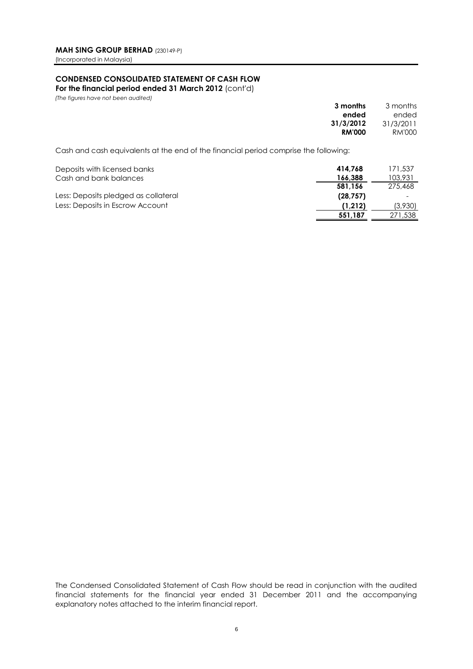### **CONDENSED CONSOLIDATED STATEMENT OF CASH FLOW**

For the financial period ended 31 March 2012 (cont'd)

*(The figures have not been audited)* 

| 3 months      | 3 months      |
|---------------|---------------|
| ended         | ended         |
| 31/3/2012     | 31/3/2011     |
| <b>RM'000</b> | <b>RM'000</b> |
|               |               |

Cash and cash equivalents at the end of the financial period comprise the following:

| Deposits with licensed banks         | 414.768   | 171.537 |
|--------------------------------------|-----------|---------|
| Cash and bank balances               | 166,388   | 103,931 |
|                                      | 581.156   | 275,468 |
| Less: Deposits pledged as collateral | (28, 757) |         |
| Less: Deposits in Escrow Account     | (1.212)   | (3,930) |
|                                      | 551,187   | 271,538 |

The Condensed Consolidated Statement of Cash Flow should be read in conjunction with the audited financial statements for the financial year ended 31 December 2011 and the accompanying explanatory notes attached to the interim financial report.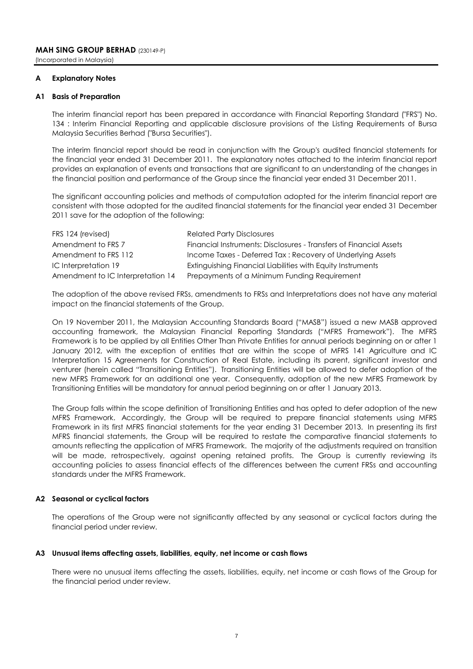#### **A Explanatory Notes**

#### **A1 Basis of Preparation**

The interim financial report has been prepared in accordance with Financial Reporting Standard ("FRS") No. 134 : Interim Financial Reporting and applicable disclosure provisions of the Listing Requirements of Bursa Malaysia Securities Berhad ("Bursa Securities").

The interim financial report should be read in conjunction with the Group's audited financial statements for the financial year ended 31 December 2011. The explanatory notes attached to the interim financial report provides an explanation of events and transactions that are significant to an understanding of the changes in the financial position and performance of the Group since the financial year ended 31 December 2011.

The significant accounting policies and methods of computation adopted for the interim financial report are consistent with those adopted for the audited financial statements for the financial year ended 31 December 2011 save for the adoption of the following:

| FRS 124 (revised)                 | <b>Related Party Disclosures</b>                                   |
|-----------------------------------|--------------------------------------------------------------------|
| Amendment to FRS 7                | Financial Instruments: Disclosures - Transfers of Financial Assets |
| Amendment to FRS 112              | Income Taxes - Deferred Tax: Recovery of Underlying Assets         |
| IC Interpretation 19              | Extinguishing Financial Liabilities with Equity Instruments        |
| Amendment to IC Interpretation 14 | Prepayments of a Minimum Funding Requirement                       |

The adoption of the above revised FRSs, amendments to FRSs and Interpretations does not have any material impact on the financial statements of the Group.

On 19 November 2011, the Malaysian Accounting Standards Board ("MASB") issued a new MASB approved accounting framework, the Malaysian Financial Reporting Standards ("MFRS Framework"). The MFRS Framework is to be applied by all Entities Other Than Private Entities for annual periods beginning on or after 1 January 2012, with the exception of entities that are within the scope of MFRS 141 Agriculture and IC Interpretation 15 Agreements for Construction of Real Estate, including its parent, significant investor and venturer (herein called "Transitioning Entities"). Transitioning Entities will be allowed to defer adoption of the new MFRS Framework for an additional one year. Consequently, adoption of the new MFRS Framework by Transitioning Entities will be mandatory for annual period beginning on or after 1 January 2013.

The Group falls within the scope definition of Transitioning Entities and has opted to defer adoption of the new MFRS Framework. Accordingly, the Group will be required to prepare financial statements using MFRS Framework in its first MFRS financial statements for the year ending 31 December 2013. In presenting its first MFRS financial statements, the Group will be required to restate the comparative financial statements to amounts reflecting the application of MFRS Framework. The majority of the adjustments required on transition will be made, retrospectively, against opening retained profits. The Group is currently reviewing its accounting policies to assess financial effects of the differences between the current FRSs and accounting standards under the MFRS Framework.

#### **A2 Seasonal or cyclical factors**

The operations of the Group were not significantly affected by any seasonal or cyclical factors during the financial period under review.

#### **A3 Unusual items affecting assets, liabilities, equity, net income or cash flows**

There were no unusual items affecting the assets, liabilities, equity, net income or cash flows of the Group for the financial period under review.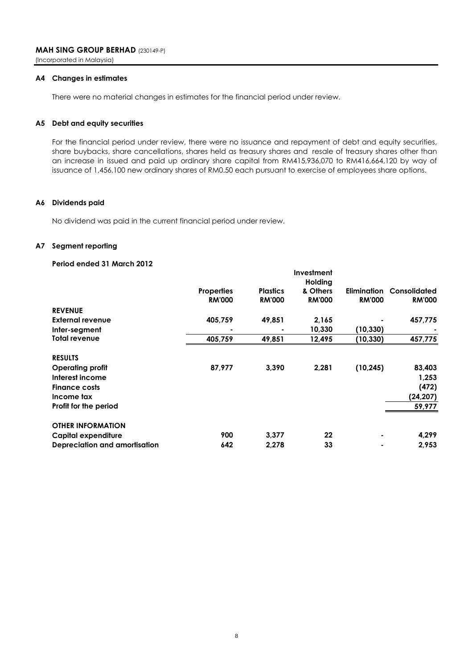(Incorporated in Malaysia)

#### **A4 Changes in estimates**

There were no material changes in estimates for the financial period under review.

#### **A5 Debt and equity securities**

For the financial period under review, there were no issuance and repayment of debt and equity securities, share buybacks, share cancellations, shares held as treasury shares and resale of treasury shares other than an increase in issued and paid up ordinary share capital from RM415,936,070 to RM416,664,120 by way of issuance of 1,456,100 new ordinary shares of RM0.50 each pursuant to exercise of employees share options.

#### **A6 Dividends paid**

No dividend was paid in the current financial period under review.

#### **A7 Segment reporting**

#### **Period ended 31 March 2012**

|                               |                   |                 | Investment     |               |               |
|-------------------------------|-------------------|-----------------|----------------|---------------|---------------|
|                               |                   |                 | <b>Holding</b> |               |               |
|                               | <b>Properties</b> | <b>Plastics</b> | & Others       | Elimination   | Consolidated  |
|                               | <b>RM'000</b>     | <b>RM'000</b>   | <b>RM'000</b>  | <b>RM'000</b> | <b>RM'000</b> |
| <b>REVENUE</b>                |                   |                 |                |               |               |
| <b>External revenue</b>       | 405,759           | 49,851          | 2,165          |               | 457,775       |
| Inter-segment                 |                   |                 | 10,330         | (10, 330)     |               |
| Total revenue                 | 405,759           | 49,851          | 12,495         | (10, 330)     | 457,775       |
| <b>RESULTS</b>                |                   |                 |                |               |               |
| <b>Operating profit</b>       | 87,977            | 3,390           | 2,281          | (10, 245)     | 83,403        |
| Interest income               |                   |                 |                |               | 1,253         |
| <b>Finance costs</b>          |                   |                 |                |               | (472)         |
| Income tax                    |                   |                 |                |               | (24, 207)     |
| Profit for the period         |                   |                 |                |               | 59,977        |
| <b>OTHER INFORMATION</b>      |                   |                 |                |               |               |
| Capital expenditure           | 900               | 3,377           | 22             |               | 4,299         |
| Depreciation and amortisation | 642               | 2,278           | 33             |               | 2,953         |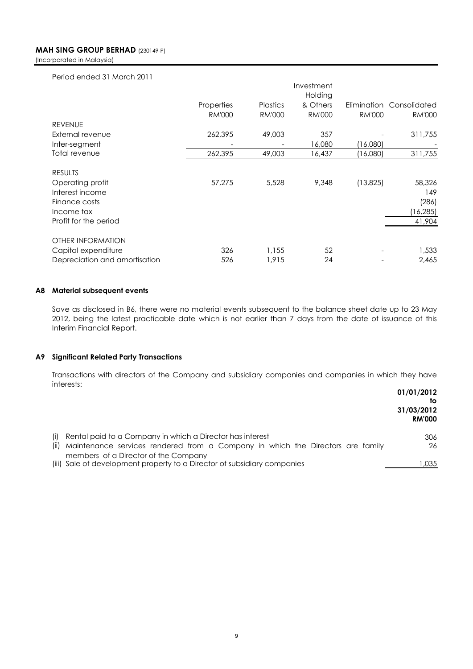(Incorporated in Malaysia)

#### Period ended 31 March 2011

|                                                                                                               |               |                | Investment<br>Holding |               |                                               |
|---------------------------------------------------------------------------------------------------------------|---------------|----------------|-----------------------|---------------|-----------------------------------------------|
|                                                                                                               | Properties    | Plastics       | & Others              |               | Elimination Consolidated                      |
|                                                                                                               | <b>RM'000</b> | <b>RM'000</b>  | <b>RM'000</b>         | <b>RM'000</b> | <b>RM'000</b>                                 |
| <b>REVENUE</b>                                                                                                |               |                |                       |               |                                               |
| External revenue                                                                                              | 262,395       | 49,003         | 357                   |               | 311,755                                       |
| Inter-segment                                                                                                 |               |                | 16,080                | (16,080)      |                                               |
| Total revenue                                                                                                 | 262,395       | 49,003         | 16,437                | (16,080)      | 311,755                                       |
| <b>RESULTS</b><br>Operating profit<br>Interest income<br>Finance costs<br>Income tax<br>Profit for the period | 57.275        | 5,528          | 9,348                 | (13,825)      | 58,326<br>149<br>(286)<br>(16, 285)<br>41,904 |
| <b>OTHER INFORMATION</b><br>Capital expenditure<br>Depreciation and amortisation                              | 326<br>526    | 1,155<br>1,915 | 52<br>24              |               | 1,533<br>2,465                                |

#### **A8 Material subsequent events**

Save as disclosed in B6, there were no material events subsequent to the balance sheet date up to 23 May 2012, being the latest practicable date which is not earlier than 7 days from the date of issuance of this Interim Financial Report.

#### **A9 Significant Related Party Transactions**

**01/01/2012** Transactions with directors of the Company and subsidiary companies and companies in which they have interests:

|     |                                                                                                                             | 01/01/2012<br>tο            |
|-----|-----------------------------------------------------------------------------------------------------------------------------|-----------------------------|
|     |                                                                                                                             | 31/03/2012<br><b>RM'000</b> |
| (i) | Rental paid to a Company in which a Director has interest                                                                   | 306                         |
|     | (ii) Maintenance services rendered from a Company in which the Directors are family<br>members of a Director of the Company | 26                          |
|     | (iii) Sale of development property to a Director of subsidiary companies                                                    | .035                        |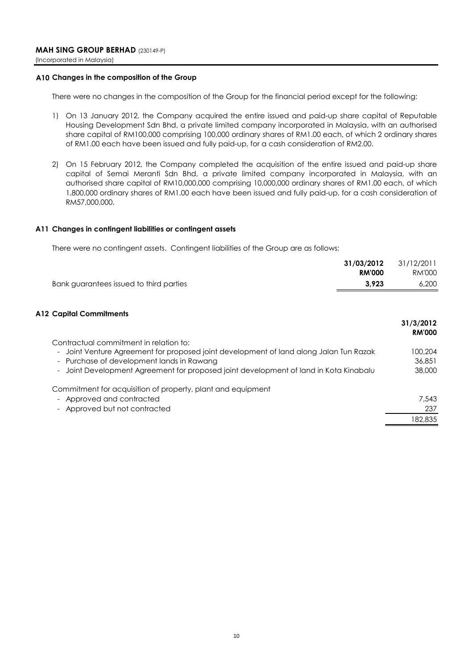#### **A10 Changes in the composition of the Group**

There were no changes in the composition of the Group for the financial period except for the following:

- 1) On 13 January 2012, the Company acquired the entire issued and paid-up share capital of Reputable Housing Development Sdn Bhd, a private limited company incorporated in Malaysia, with an authorised share capital of RM100,000 comprising 100,000 ordinary shares of RM1.00 each, of which 2 ordinary shares of RM1.00 each have been issued and fully paid-up, for a cash consideration of RM2.00.
- 2) On 15 February 2012, the Company completed the acquisition of the entire issued and paid-up share capital of Semai Meranti Sdn Bhd, a private limited company incorporated in Malaysia, with an authorised share capital of RM10,000,000 comprising 10,000,000 ordinary shares of RM1.00 each, of which 1,800,000 ordinary shares of RM1.00 each have been issued and fully paid-up, for a cash consideration of RM57,000,000.

#### **A11 Changes in contingent liabilities or contingent assets**

There were no contingent assets. Contingent liabilities of the Group are as follows:

|                                         | 31/03/2012<br><b>RM'000</b> | 31/12/2011<br><b>RM'000</b> |
|-----------------------------------------|-----------------------------|-----------------------------|
| Bank guarantees issued to third parties | 3.923                       | 6,200                       |
|                                         |                             |                             |

#### **A12 Capital Commitments**

|                                                                                                                                  | 31/3/2012<br><b>RM'000</b> |
|----------------------------------------------------------------------------------------------------------------------------------|----------------------------|
| Contractual commitment in relation to:<br>- Joint Venture Agreement for proposed joint development of land along Jalan Tun Razak | 100,204                    |
| - Purchase of development lands in Rawang                                                                                        | 36,851                     |
| - Joint Development Agreement for proposed joint development of land in Kota Kinabalu                                            | 38,000                     |
| Commitment for acquisition of property, plant and equipment                                                                      |                            |
| Approved and contracted                                                                                                          | 7,543                      |
| - Approved but not contracted                                                                                                    | 237                        |
|                                                                                                                                  | 182,835                    |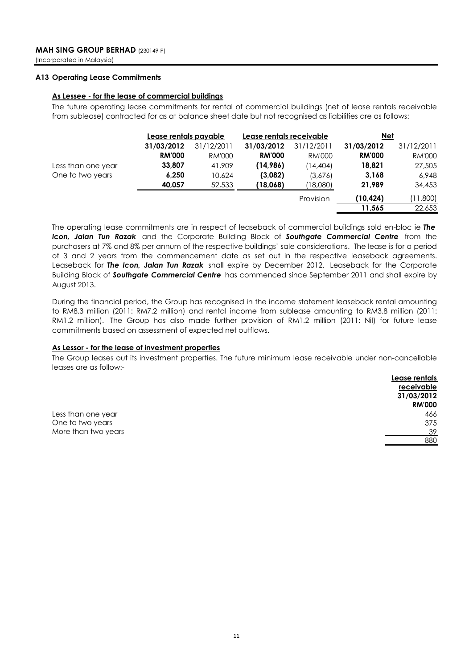#### **A13 Operating Lease Commitments**

#### **As Lessee - for the lease of commercial buildings**

The future operating lease commitments for rental of commercial buildings (net of lease rentals receivable from sublease) contracted for as at balance sheet date but not recognised as liabilities are as follows:

|                    | Lease rentals payable |               | Lease rentals receivable |            | <u>Net</u>    |               |
|--------------------|-----------------------|---------------|--------------------------|------------|---------------|---------------|
|                    | 31/03/2012            | 31/12/2011    | 31/03/2012               | 31/12/2011 | 31/03/2012    | 31/12/2011    |
|                    | <b>RM'000</b>         | <b>RM'000</b> | <b>RM'000</b>            | RM'000     | <b>RM'000</b> | <b>RM'000</b> |
| Less than one year | 33,807                | 41,909        | (14,986)                 | (14, 404)  | 18,821        | 27,505        |
| One to two years   | 6,250                 | 10,624        | (3,082)                  | (3,676)    | 3,168         | 6,948         |
|                    | 40.057                | 52,533        | (18,068)                 | (18,080)   | 21.989        | 34,453        |
|                    |                       |               |                          | Provision  | (10, 424)     | 11,800        |
|                    |                       |               |                          |            | 11,565        | 22,653        |
|                    |                       |               |                          |            |               |               |

The operating lease commitments are in respect of leaseback of commercial buildings sold en-bloc ie *The Icon, Jalan Tun Razak* and the Corporate Building Block of *Southgate Commercial Centre* from the purchasers at 7% and 8% per annum of the respective buildings' sale considerations. The lease is for a period of 3 and 2 years from the commencement date as set out in the respective leaseback agreements. Leaseback for *The Icon, Jalan Tun Razak* shall expire by December 2012. Leaseback for the Corporate Building Block of *Southgate Commercial Centre* has commenced since September 2011 and shall expire by August 2013.

During the financial period, the Group has recognised in the income statement leaseback rental amounting to RM8.3 million (2011: RM7.2 million) and rental income from sublease amounting to RM3.8 million (2011: RM1.2 million). The Group has also made further provision of RM1.2 million (2011: Nil) for future lease commitments based on assessment of expected net outflows.

#### **As Lessor - for the lease of investment properties**

The Group leases out its investment properties. The future minimum lease receivable under non-cancellable leases are as follow:-

|                     | Lease rentals     |
|---------------------|-------------------|
|                     | <u>receivable</u> |
|                     | 31/03/2012        |
|                     | <b>RM'000</b>     |
| Less than one year  | 466               |
| One to two years    | 375               |
| More than two years | 39                |
|                     | 880               |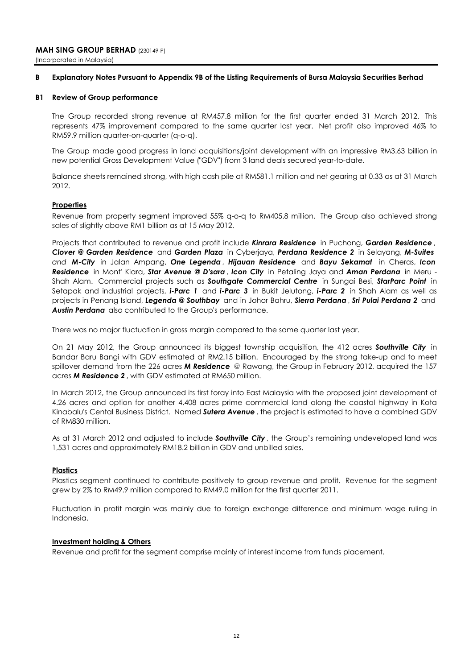#### **B Explanatory Notes Pursuant to Appendix 9B of the Listing Requirements of Bursa Malaysia Securities Berhad**

#### **B1 Review of Group performance**

The Group recorded strong revenue at RM457.8 million for the first quarter ended 31 March 2012. This represents 47% improvement compared to the same quarter last year. Net profit also improved 46% to RM59.9 million quarter-on-quarter (q-o-q).

The Group made good progress in land acquisitions/joint development with an impressive RM3.63 billion in new potential Gross Development Value ("GDV") from 3 land deals secured year-to-date.

Balance sheets remained strong, with high cash pile at RM581.1 million and net gearing at 0.33 as at 31 March 2012.

#### **Properties**

Revenue from property segment improved 55% q-o-q to RM405.8 million. The Group also achieved strong sales of slightly above RM1 billion as at 15 May 2012.

Projects that contributed to revenue and profit include *Kinrara Residence* in Puchong, *Garden Residence* , *Clover @ Garden Residence* and *Garden Plaza* in Cyberjaya, *Perdana Residence 2* in Selayang, *M-Suites and M-City* in Jalan Ampang, *One Legenda* , *Hijauan Residence* and *Bayu Sekamat* in Cheras, *Icon Residence* in Mont' Kiara, *Star Avenue @ D'sara* , *Icon City* in Petaling Jaya and *Aman Perdana* in Meru - Shah Alam. Commercial projects such as *Southgate Commercial Centre* in Sungai Besi, *StarParc Point* in Setapak and industrial projects, *i-Parc 1* and *i-Parc 3* in Bukit Jelutong, *i-Parc 2* in Shah Alam as well as projects in Penang Island, *Legenda @ Southbay* and in Johor Bahru, *Sierra Perdana* , *Sri Pulai Perdana 2* and *Austin Perdana* also contributed to the Group's performance.

There was no major fluctuation in gross margin compared to the same quarter last year.

On 21 May 2012, the Group announced its biggest township acquisition, the 412 acres *Southville City* in Bandar Baru Bangi with GDV estimated at RM2.15 billion. Encouraged by the strong take-up and to meet spillover demand from the 226 acres *M Residence* @ Rawang, the Group in February 2012, acquired the 157 acres *M Residence 2* , with GDV estimated at RM650 million.

In March 2012, the Group announced its first foray into East Malaysia with the proposed joint development of 4.26 acres and option for another 4.408 acres prime commercial land along the coastal highway in Kota Kinabalu's Cental Business District. Named *Sutera Avenue* , the project is estimated to have a combined GDV of RM830 million.

As at 31 March 2012 and adjusted to include *Southville City* , the Group's remaining undeveloped land was 1,531 acres and approximately RM18.2 billion in GDV and unbilled sales.

#### **Plastics**

Plastics segment continued to contribute positively to group revenue and profit. Revenue for the segment grew by 2% to RM49.9 million compared to RM49.0 million for the first quarter 2011.

Fluctuation in profit margin was mainly due to foreign exchange difference and minimum wage ruling in Indonesia.

#### **Investment holding & Others**

Revenue and profit for the segment comprise mainly of interest income from funds placement.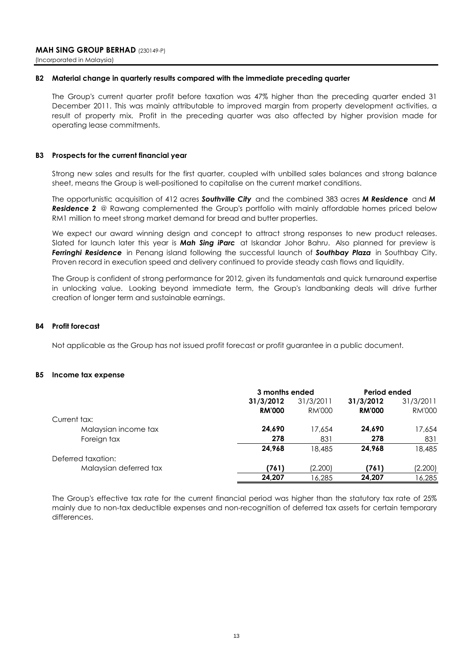#### **B2 Material change in quarterly results compared with the immediate preceding quarter**

The Group's current quarter profit before taxation was 47% higher than the preceding quarter ended 31 December 2011. This was mainly attributable to improved margin from property development activities, a result of property mix. Profit in the preceding quarter was also affected by higher provision made for operating lease commitments.

#### **B3 Prospects for the current financial year**

Strong new sales and results for the first quarter, coupled with unbilled sales balances and strong balance sheet, means the Group is well-positioned to capitalise on the current market conditions.

The opportunistic acquisition of 412 acres *Southville City* and the combined 383 acres *M Residence* and *M* **Residence 2** @ Rawang complemented the Group's portfolio with mainly affordable homes priced below RM1 million to meet strong market demand for bread and butter properties.

We expect our award winning design and concept to attract strong responses to new product releases. Slated for launch later this year is *Mah Sing iParc* at Iskandar Johor Bahru. Also planned for preview is *Ferringhi Residence* in Penang island following the successful launch of *Southbay Plaza* in Southbay City. Proven record in execution speed and delivery continued to provide steady cash flows and liquidity.

The Group is confident of strong performance for 2012, given its fundamentals and quick turnaround expertise in unlocking value. Looking beyond immediate term, the Group's landbanking deals will drive further creation of longer term and sustainable earnings.

#### **B4 Profit forecast**

Not applicable as the Group has not issued profit forecast or profit guarantee in a public document.

#### **B5 Income tax expense**

|                        | 3 months ended |           | Period ended  |               |
|------------------------|----------------|-----------|---------------|---------------|
|                        | 31/3/2012      | 31/3/2011 | 31/3/2012     | 31/3/2011     |
|                        | <b>RM'000</b>  | RM'000    | <b>RM'000</b> | <b>RM'000</b> |
| Current tax:           |                |           |               |               |
| Malaysian income tax   | 24.690         | 17.654    | 24.690        | 17,654        |
| Foreign tax            | 278            | 831       | 278           | 831           |
|                        | 24.968         | 18.485    | 24.968        | 18,485        |
| Deferred taxation:     |                |           |               |               |
| Malaysian deferred tax | (761)          | (2,200)   | (761)         | (2,200)       |
|                        | 24.207         | 6.285     | 24.207        | 16,285        |

The Group's effective tax rate for the current financial period was higher than the statutory tax rate of 25% mainly due to non-tax deductible expenses and non-recognition of deferred tax assets for certain temporary differences.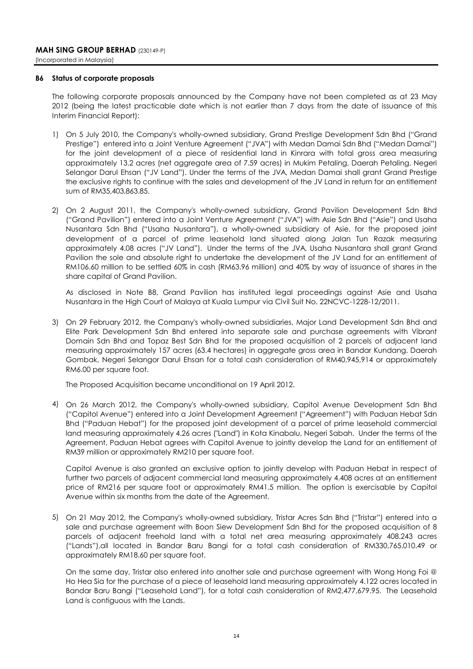#### **B6 Status of corporate proposals**

The following corporate proposals announced by the Company have not been completed as at 23 May 2012 (being the latest practicable date which is not earlier than 7 days from the date of issuance of this Interim Financial Report):

- 1) On 5 July 2010, the Company's wholly-owned subsidiary, Grand Prestige Development Sdn Bhd ("Grand Prestige") entered into a Joint Venture Agreement ("JVA") with Medan Damai Sdn Bhd ("Medan Damai") for the joint development of a piece of residential land in Kinrara with total gross area measuring approximately 13.2 acres (net aggregate area of 7.59 acres) in Mukim Petaling, Daerah Petaling, Negeri Selangor Darul Ehsan ("JV Land"). Under the terms of the JVA, Medan Damai shall grant Grand Prestige the exclusive rights to continue with the sales and development of the JV Land in return for an entitlement sum of RM35,403,863.85.
- 2) On 2 August 2011, the Company's wholly-owned subsidiary, Grand Pavilion Development Sdn Bhd ("Grand Pavilion") entered into a Joint Venture Agreement ("JVA") with Asie Sdn Bhd ("Asie") and Usaha Nusantara Sdn Bhd ("Usaha Nusantara"), a wholly-owned subsidiary of Asie, for the proposed joint development of a parcel of prime leasehold land situated along Jalan Tun Razak measuring approximately 4.08 acres ("JV Land"). Under the terms of the JVA, Usaha Nusantara shall grant Grand Pavilion the sole and absolute right to undertake the development of the JV Land for an entitlement of RM106.60 million to be settled 60% in cash (RM63.96 million) and 40% by way of issuance of shares in the share capital of Grand Pavilion.

As disclosed in Note B8, Grand Pavilion has instituted legal proceedings against Asie and Usaha Nusantara in the High Court of Malaya at Kuala Lumpur via Civil Suit No. 22NCVC-1228-12/2011.

3) On 29 February 2012, the Company's wholly-owned subsidiaries, Major Land Development Sdn Bhd and Elite Park Development Sdn Bhd entered into separate sale and purchase agreements with Vibrant Domain Sdn Bhd and Topaz Best Sdn Bhd for the proposed acquisition of 2 parcels of adjacent land measuring approximately 157 acres (63.4 hectares) in aggregate gross area in Bandar Kundang, Daerah Gombak, Negeri Selangor Darul Ehsan for a total cash consideration of RM40,945,914 or approximately RM6.00 per square foot.

The Proposed Acquisition became unconditional on 19 April 2012.

4) On 26 March 2012, the Company's wholly-owned subsidiary, Capitol Avenue Development Sdn Bhd ("Capitol Avenue") entered into a Joint Development Agreement ("Agreement") with Paduan Hebat Sdn Bhd ("Paduan Hebat") for the proposed joint development of a parcel of prime leasehold commercial land measuring approximately 4.26 acres ("Land") in Kota Kinabalu, Negeri Sabah. Under the terms of the Agreement, Paduan Hebat agrees with Capitol Avenue to jointly develop the Land for an entitlement of RM39 million or approximately RM210 per square foot.

Capitol Avenue is also granted an exclusive option to jointly develop with Paduan Hebat in respect of further two parcels of adjacent commercial land measuring approximately 4.408 acres at an entitlement price of RM216 per square foot or approximately RM41.5 million. The option is exercisable by Capitol Avenue within six months from the date of the Agreement.

5) On 21 May 2012, the Company's wholly-owned subsidiary, Tristar Acres Sdn Bhd ("Tristar") entered into a sale and purchase agreement with Boon Siew Development Sdn Bhd for the proposed acquisition of 8 parcels of adjacent freehold land with a total net area measuring approximately 408.243 acres ("Lands"),all located in Bandar Baru Bangi for a total cash consideration of RM330,765,010.49 or approximately RM18.60 per square foot.

On the same day, Tristar also entered into another sale and purchase agreement with Wong Hong Foi @ Ho Hea Sia for the purchase of a piece of leasehold land measuring approximately 4.122 acres located in Bandar Baru Bangi ("Leasehold Land"), for a total cash consideration of RM2,477,679.95. The Leasehold Land is contiguous with the Lands.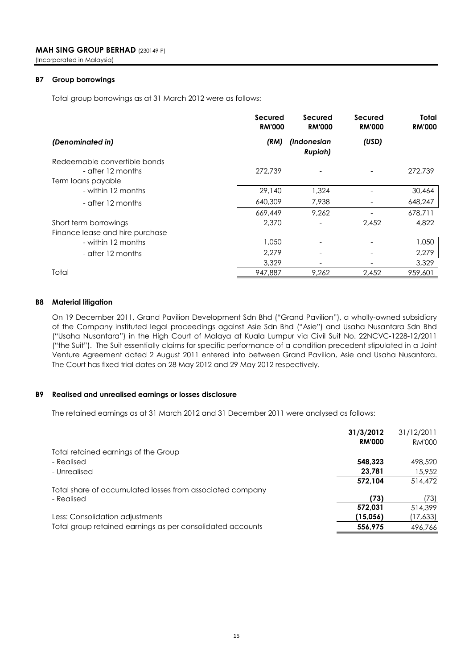#### **B7 Group borrowings**

Total group borrowings as at 31 March 2012 were as follows:

|                                 | Secured<br><b>RM'000</b> | Secured<br><b>RM'000</b>       | Secured<br><b>RM'000</b> | Total<br><b>RM'000</b> |
|---------------------------------|--------------------------|--------------------------------|--------------------------|------------------------|
| (Denominated in)                | (RM)                     | (Indonesian<br><b>Rupiah</b> ) | (USD)                    |                        |
| Redeemable convertible bonds    |                          |                                |                          |                        |
| - after 12 months               | 272,739                  |                                |                          | 272,739                |
| Term loans payable              |                          |                                |                          |                        |
| - within 12 months              | 29,140                   | 1,324                          |                          | 30,464                 |
| - after 12 months               | 640,309                  | 7,938                          |                          | 648,247                |
|                                 | 669,449                  | 9.262                          |                          | 678,711                |
| Short term borrowings           | 2,370                    | $\overline{\phantom{0}}$       | 2,452                    | 4,822                  |
| Finance lease and hire purchase |                          |                                |                          |                        |
| - within 12 months              | 1,050                    |                                |                          | 1,050                  |
| - after 12 months               | 2.279                    |                                |                          | 2,279                  |
|                                 | 3,329                    |                                |                          | 3.329                  |
| Total                           | 947,887                  | 9,262                          | 2,452                    | 959,601                |

#### **B8 Material litigation**

On 19 December 2011, Grand Pavilion Development Sdn Bhd ("Grand Pavilion"), a wholly-owned subsidiary of the Company instituted legal proceedings against Asie Sdn Bhd ("Asie") and Usaha Nusantara Sdn Bhd ("Usaha Nusantara") in the High Court of Malaya at Kuala Lumpur via Civil Suit No. 22NCVC-1228-12/2011 ("the Suit"). The Suit essentially claims for specific performance of a condition precedent stipulated in a Joint Venture Agreement dated 2 August 2011 entered into between Grand Pavilion, Asie and Usaha Nusantara. The Court has fixed trial dates on 28 May 2012 and 29 May 2012 respectively.

#### **B9 Realised and unrealised earnings or losses disclosure**

The retained earnings as at 31 March 2012 and 31 December 2011 were analysed as follows:

|                                                            | 31/3/2012     | 31/12/2011 |
|------------------------------------------------------------|---------------|------------|
|                                                            | <b>RM'000</b> | RM'000     |
| Total retained earnings of the Group                       |               |            |
| - Realised                                                 | 548.323       | 498,520    |
| - Unrealised                                               | 23,781        | 15,952     |
|                                                            | 572.104       | 514.472    |
| Total share of accumulated losses from associated company  |               |            |
| - Realised                                                 | (73)          | (73)       |
|                                                            | 572.031       | 514,399    |
| Less: Consolidation adjustments                            | (15,056)      | (17,633)   |
| Total group retained earnings as per consolidated accounts | 556.975       | 496.766    |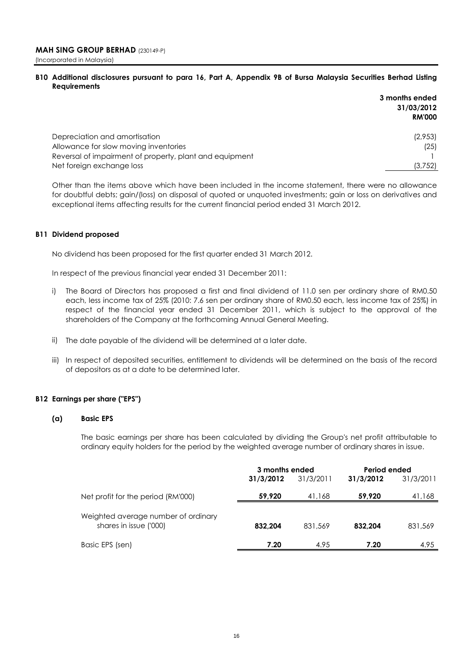#### B10 Additional disclosures pursuant to para 16, Part A, Appendix 9B of Bursa Malaysia Securities Berhad Listing **Requirements**

|                                                         | 3 months ended<br>31/03/2012<br><b>RM'000</b> |
|---------------------------------------------------------|-----------------------------------------------|
| Depreciation and amortisation                           | (2,953)                                       |
| Allowance for slow moving inventories                   | (25)                                          |
| Reversal of impairment of property, plant and equipment |                                               |
| Net foreign exchange loss                               | (3,752)                                       |

Other than the items above which have been included in the income statement, there were no allowance for doubtful debts; gain/(loss) on disposal of quoted or unquoted investments; gain or loss on derivatives and exceptional items affecting results for the current financial period ended 31 March 2012.

#### **B11 Dividend proposed**

No dividend has been proposed for the first quarter ended 31 March 2012.

In respect of the previous financial year ended 31 December 2011:

- i) The Board of Directors has proposed a first and final dividend of 11.0 sen per ordinary share of RM0.50 each, less income tax of 25% (2010: 7.6 sen per ordinary share of RM0.50 each, less income tax of 25%) in respect of the financial year ended 31 December 2011, which is subject to the approval of the shareholders of the Company at the forthcoming Annual General Meeting.
- ii) The date payable of the dividend will be determined at a later date.
- iii) In respect of deposited securities, entitlement to dividends will be determined on the basis of the record of depositors as at a date to be determined later.

#### **B12 Earnings per share ("EPS")**

#### **(a) Basic EPS**

The basic earnings per share has been calculated by dividing the Group's net profit attributable to ordinary equity holders for the period by the weighted average number of ordinary shares in issue.

|                                                               | 3 months ended |           | Period ended |           |
|---------------------------------------------------------------|----------------|-----------|--------------|-----------|
|                                                               | 31/3/2012      | 31/3/2011 | 31/3/2012    | 31/3/2011 |
| Net profit for the period (RM'000)                            | 59.920         | 41.168    | 59.920       | 41,168    |
| Weighted average number of ordinary<br>shares in issue ('000) | 832.204        | 831.569   | 832.204      | 831,569   |
| Basic EPS (sen)                                               | 7.20           | 4.95      | 7.20         | 4.95      |